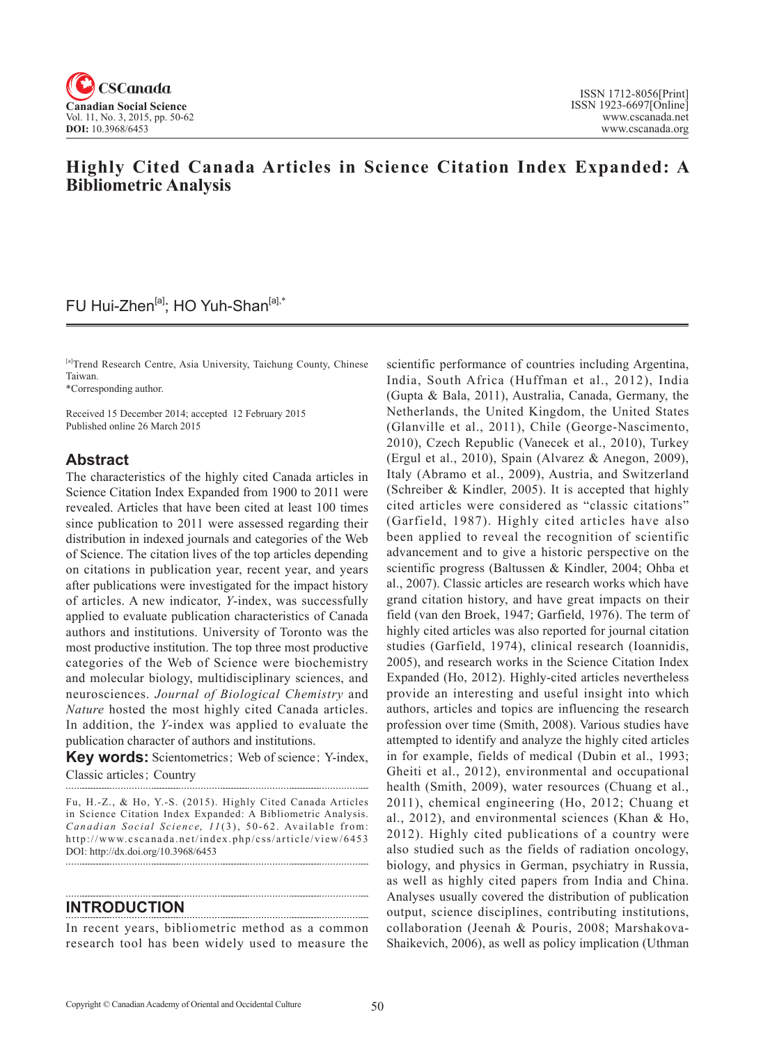

# **Highly Cited Canada Articles in Science Citation Index Expanded: A Bibliometric Analysis**

# FU Hui-Zhen<sup>[a]</sup>; HO Yuh-Shan<sup>[a],\*</sup>

[a]Trend Research Centre, Asia University, Taichung County, Chinese Taiwan.

\*Corresponding author.

Received 15 December 2014; accepted 12 February 2015 Published online 26 March 2015

## **Abstract**

The characteristics of the highly cited Canada articles in Science Citation Index Expanded from 1900 to 2011 were revealed. Articles that have been cited at least 100 times since publication to 2011 were assessed regarding their distribution in indexed journals and categories of the Web of Science. The citation lives of the top articles depending on citations in publication year, recent year, and years after publications were investigated for the impact history of articles. A new indicator, *Y*-index, was successfully applied to evaluate publication characteristics of Canada authors and institutions. University of Toronto was the most productive institution. The top three most productive categories of the Web of Science were biochemistry and molecular biology, multidisciplinary sciences, and neurosciences. *Journal of Biological Chemistry* and *Nature* hosted the most highly cited Canada articles. In addition, the *Y*-index was applied to evaluate the publication character of authors and institutions.

**Key words:** Scientometrics; Web of science; Y-index, Classic articles; Country

Fu, H.-Z., & Ho, Y.-S. (2015). Highly Cited Canada Articles in Science Citation Index Expanded: A Bibliometric Analysis. Canadian Social Science, 11(3), 50-62. Available from: http://www.cscanada.net/index.php/css/article/view/6453 DOI: http://dx.doi.org/10.3968/6453

## **INTRODUCTION**

In recent years, bibliometric method as a common research tool has been widely used to measure the

scientific performance of countries including Argentina, India, South Africa (Huffman et al., 2012), India (Gupta & Bala, 2011), Australia, Canada, Germany, the Netherlands, the United Kingdom, the United States (Glanville et al., 2011), Chile (George-Nascimento, 2010), Czech Republic (Vanecek et al., 2010), Turkey (Ergul et al., 2010), Spain (Alvarez & Anegon, 2009), Italy (Abramo et al., 2009), Austria, and Switzerland (Schreiber & Kindler, 2005). It is accepted that highly cited articles were considered as "classic citations" (Garfield, 1987). Highly cited articles have also been applied to reveal the recognition of scientific advancement and to give a historic perspective on the scientific progress (Baltussen & Kindler, 2004; Ohba et al., 2007). Classic articles are research works which have grand citation history, and have great impacts on their field (van den Broek, 1947; Garfield, 1976). The term of highly cited articles was also reported for journal citation studies (Garfield, 1974), clinical research (Ioannidis, 2005), and research works in the Science Citation Index Expanded (Ho, 2012). Highly-cited articles nevertheless provide an interesting and useful insight into which authors, articles and topics are influencing the research profession over time (Smith, 2008). Various studies have attempted to identify and analyze the highly cited articles in for example, fields of medical (Dubin et al., 1993; Gheiti et al., 2012), environmental and occupational health (Smith, 2009), water resources (Chuang et al., 2011), chemical engineering (Ho, 2012; Chuang et al., 2012), and environmental sciences (Khan & Ho, 2012). Highly cited publications of a country were also studied such as the fields of radiation oncology, biology, and physics in German, psychiatry in Russia, as well as highly cited papers from India and China. Analyses usually covered the distribution of publication output, science disciplines, contributing institutions, collaboration (Jeenah & Pouris, 2008; Marshakova-Shaikevich, 2006), as well as policy implication (Uthman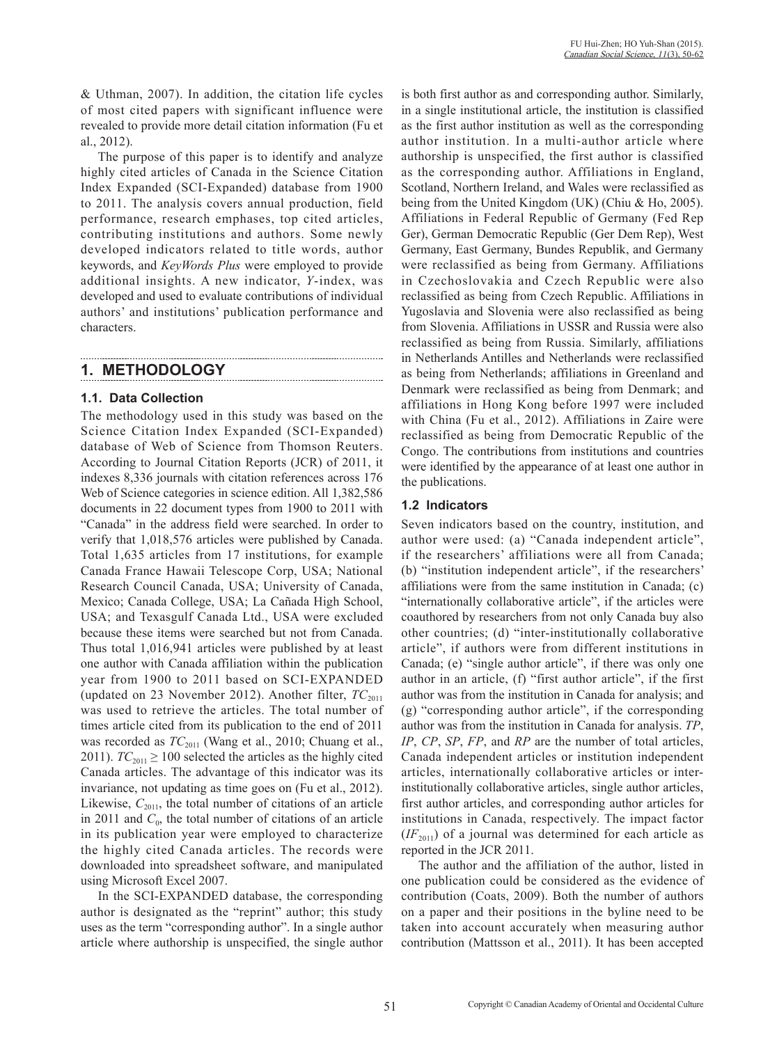& Uthman, 2007). In addition, the citation life cycles of most cited papers with significant influence were revealed to provide more detail citation information (Fu et al., 2012).

The purpose of this paper is to identify and analyze highly cited articles of Canada in the Science Citation Index Expanded (SCI-Expanded) database from 1900 to 2011. The analysis covers annual production, field performance, research emphases, top cited articles, contributing institutions and authors. Some newly developed indicators related to title words, author keywords, and *KeyWords Plus* were employed to provide additional insights. A new indicator, *Y*-index, was developed and used to evaluate contributions of individual authors' and institutions' publication performance and characters.

# **1. METHODOLOGY**

## **1.1. Data Collection**

The methodology used in this study was based on the Science Citation Index Expanded (SCI-Expanded) database of Web of Science from Thomson Reuters. According to Journal Citation Reports (JCR) of 2011, it indexes 8,336 journals with citation references across 176 Web of Science categories in science edition. All 1,382,586 documents in 22 document types from 1900 to 2011 with "Canada" in the address field were searched. In order to verify that 1,018,576 articles were published by Canada. Total 1,635 articles from 17 institutions, for example Canada France Hawaii Telescope Corp, USA; National Research Council Canada, USA; University of Canada, Mexico; Canada College, USA; La Cañada High School, USA; and Texasgulf Canada Ltd., USA were excluded because these items were searched but not from Canada. Thus total 1,016,941 articles were published by at least one author with Canada affiliation within the publication year from 1900 to 2011 based on SCI-EXPANDED (updated on 23 November 2012). Another filter,  $TC_{2011}$ was used to retrieve the articles. The total number of times article cited from its publication to the end of 2011 was recorded as  $TC_{2011}$  (Wang et al., 2010; Chuang et al., 2011).  $TC_{2011} \ge 100$  selected the articles as the highly cited Canada articles. The advantage of this indicator was its invariance, not updating as time goes on (Fu et al., 2012). Likewise,  $C_{2011}$ , the total number of citations of an article in 2011 and  $C_0$ , the total number of citations of an article in its publication year were employed to characterize the highly cited Canada articles. The records were downloaded into spreadsheet software, and manipulated using Microsoft Excel 2007.

In the SCI-EXPANDED database, the corresponding author is designated as the "reprint" author; this study uses as the term "corresponding author". In a single author article where authorship is unspecified, the single author

is both first author as and corresponding author. Similarly, in a single institutional article, the institution is classified as the first author institution as well as the corresponding author institution. In a multi-author article where authorship is unspecified, the first author is classified as the corresponding author. Affiliations in England, Scotland, Northern Ireland, and Wales were reclassified as being from the United Kingdom (UK) (Chiu & Ho, 2005). Affiliations in Federal Republic of Germany (Fed Rep Ger), German Democratic Republic (Ger Dem Rep), West Germany, East Germany, Bundes Republik, and Germany were reclassified as being from Germany. Affiliations in Czechoslovakia and Czech Republic were also reclassified as being from Czech Republic. Affiliations in Yugoslavia and Slovenia were also reclassified as being from Slovenia. Affiliations in USSR and Russia were also reclassified as being from Russia. Similarly, affiliations in Netherlands Antilles and Netherlands were reclassified as being from Netherlands; affiliations in Greenland and Denmark were reclassified as being from Denmark; and affiliations in Hong Kong before 1997 were included with China (Fu et al., 2012). Affiliations in Zaire were reclassified as being from Democratic Republic of the Congo. The contributions from institutions and countries were identified by the appearance of at least one author in the publications.

## **1.2 Indicators**

Seven indicators based on the country, institution, and author were used: (a) "Canada independent article", if the researchers' affiliations were all from Canada; (b) "institution independent article", if the researchers' affiliations were from the same institution in Canada; (c) "internationally collaborative article", if the articles were coauthored by researchers from not only Canada buy also other countries; (d) "inter-institutionally collaborative article", if authors were from different institutions in Canada; (e) "single author article", if there was only one author in an article, (f) "first author article", if the first author was from the institution in Canada for analysis; and (g) "corresponding author article", if the corresponding author was from the institution in Canada for analysis. *TP*, *IP*, *CP*, *SP*, *FP*, and *RP* are the number of total articles, Canada independent articles or institution independent articles, internationally collaborative articles or interinstitutionally collaborative articles, single author articles, first author articles, and corresponding author articles for institutions in Canada, respectively. The impact factor  $(F_{2011})$  of a journal was determined for each article as reported in the JCR 2011.

The author and the affiliation of the author, listed in one publication could be considered as the evidence of contribution (Coats, 2009). Both the number of authors on a paper and their positions in the byline need to be taken into account accurately when measuring author contribution (Mattsson et al., 2011). It has been accepted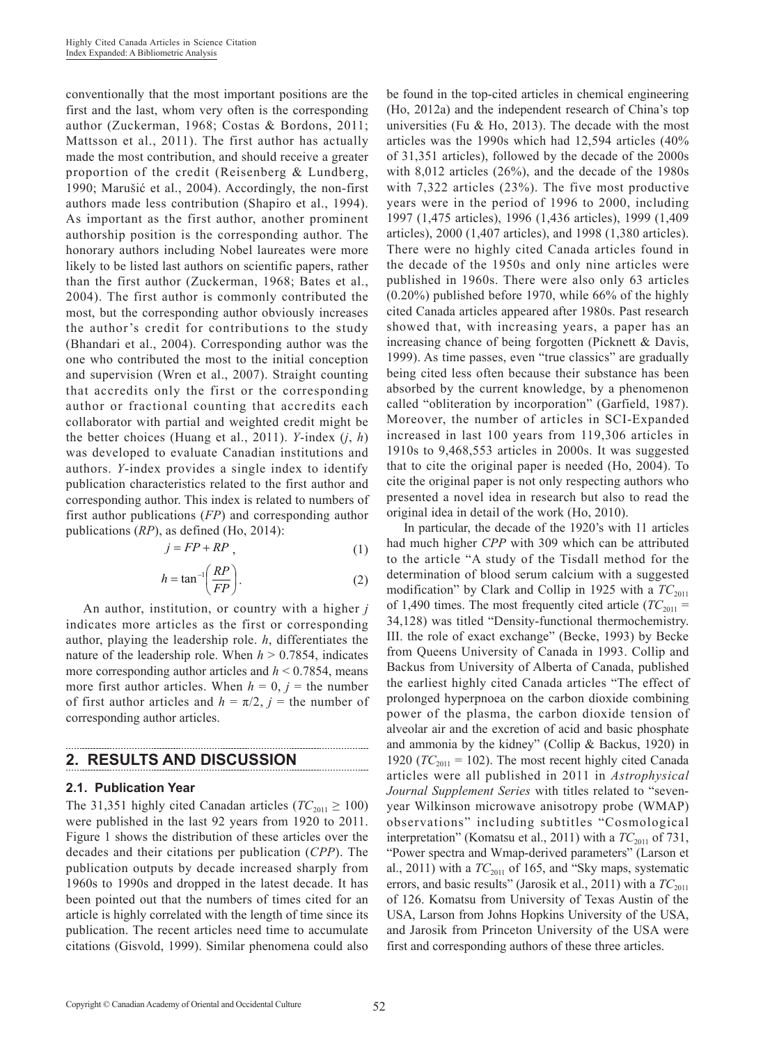conventionally that the most important positions are the first and the last, whom very often is the corresponding author (Zuckerman, 1968; Costas & Bordons, 2011; Mattsson et al., 2011). The first author has actually made the most contribution, and should receive a greater proportion of the credit (Reisenberg & Lundberg, 1990; Marušić et al., 2004). Accordingly, the non-first authors made less contribution (Shapiro et al., 1994). As important as the first author, another prominent authorship position is the corresponding author. The honorary authors including Nobel laureates were more likely to be listed last authors on scientific papers, rather than the first author (Zuckerman, 1968; Bates et al., 2004). The first author is commonly contributed the most, but the corresponding author obviously increases the author's credit for contributions to the study (Bhandari et al., 2004). Corresponding author was the one who contributed the most to the initial conception and supervision (Wren et al., 2007). Straight counting that accredits only the first or the corresponding author or fractional counting that accredits each collaborator with partial and weighted credit might be the better choices (Huang et al., 2011). *Y*-index (*j*, *h*) was developed to evaluate Canadian institutions and authors. *Y*-index provides a single index to identify publication characteristics related to the first author and corresponding author. This index is related to numbers of first author publications (*FP*) and corresponding author publications (*RP*), as defined (Ho, 2014):

$$
j = FP + RP \tag{1}
$$

$$
h = \tan^{-1}\left(\frac{RP}{FP}\right). \tag{2}
$$

An author, institution, or country with a higher *j* indicates more articles as the first or corresponding author, playing the leadership role. *h*, differentiates the nature of the leadership role. When  $h > 0.7854$ , indicates more corresponding author articles and *h* < 0.7854, means more first author articles. When  $h = 0$ ,  $j =$  the number of first author articles and  $h = \pi/2$ ,  $j =$  the number of corresponding author articles.

### **2. RESULTS AND DISCUSSION**

### **2.1. Publication Year**

The 31,351 highly cited Canadan articles ( $TC_{2011} \ge 100$ ) were published in the last 92 years from 1920 to 2011. Figure 1 shows the distribution of these articles over the decades and their citations per publication (*CPP*). The publication outputs by decade increased sharply from 1960s to 1990s and dropped in the latest decade. It has been pointed out that the numbers of times cited for an article is highly correlated with the length of time since its publication. The recent articles need time to accumulate citations (Gisvold, 1999). Similar phenomena could also be found in the top-cited articles in chemical engineering (Ho, 2012a) and the independent research of China's top universities (Fu  $&$  Ho, 2013). The decade with the most articles was the 1990s which had 12,594 articles (40% of 31,351 articles), followed by the decade of the 2000s with 8,012 articles (26%), and the decade of the 1980s with 7,322 articles (23%). The five most productive years were in the period of 1996 to 2000, including 1997 (1,475 articles), 1996 (1,436 articles), 1999 (1,409 articles), 2000 (1,407 articles), and 1998 (1,380 articles). There were no highly cited Canada articles found in the decade of the 1950s and only nine articles were published in 1960s. There were also only 63 articles (0.20%) published before 1970, while 66% of the highly cited Canada articles appeared after 1980s. Past research showed that, with increasing years, a paper has an increasing chance of being forgotten (Picknett & Davis, 1999). As time passes, even "true classics" are gradually being cited less often because their substance has been absorbed by the current knowledge, by a phenomenon called "obliteration by incorporation" (Garfield, 1987). Moreover, the number of articles in SCI-Expanded increased in last 100 years from 119,306 articles in 1910s to 9,468,553 articles in 2000s. It was suggested that to cite the original paper is needed (Ho, 2004). To cite the original paper is not only respecting authors who presented a novel idea in research but also to read the original idea in detail of the work (Ho, 2010).

In particular, the decade of the 1920's with 11 articles had much higher *CPP* with 309 which can be attributed to the article "A study of the Tisdall method for the determination of blood serum calcium with a suggested modification" by Clark and Collip in 1925 with a  $TC_{2011}$ of 1,490 times. The most frequently cited article ( $TC_{2011}$  = 34,128) was titled "Density-functional thermochemistry. III. the role of exact exchange" (Becke, 1993) by Becke from Queens University of Canada in 1993. Collip and Backus from University of Alberta of Canada, published the earliest highly cited Canada articles "The effect of prolonged hyperpnoea on the carbon dioxide combining power of the plasma, the carbon dioxide tension of alveolar air and the excretion of acid and basic phosphate and ammonia by the kidney" (Collip & Backus, 1920) in 1920 ( $TC_{2011} = 102$ ). The most recent highly cited Canada articles were all published in 2011 in *Astrophysical Journal Supplement Series* with titles related to "sevenyear Wilkinson microwave anisotropy probe (WMAP) observations" including subtitles "Cosmological interpretation" (Komatsu et al., 2011) with a  $TC_{2011}$  of 731, "Power spectra and Wmap-derived parameters" (Larson et al., 2011) with a  $TC_{2011}$  of 165, and "Sky maps, systematic errors, and basic results" (Jarosik et al., 2011) with a  $TC_{2011}$ of 126. Komatsu from University of Texas Austin of the USA, Larson from Johns Hopkins University of the USA, and Jarosik from Princeton University of the USA were first and corresponding authors of these three articles.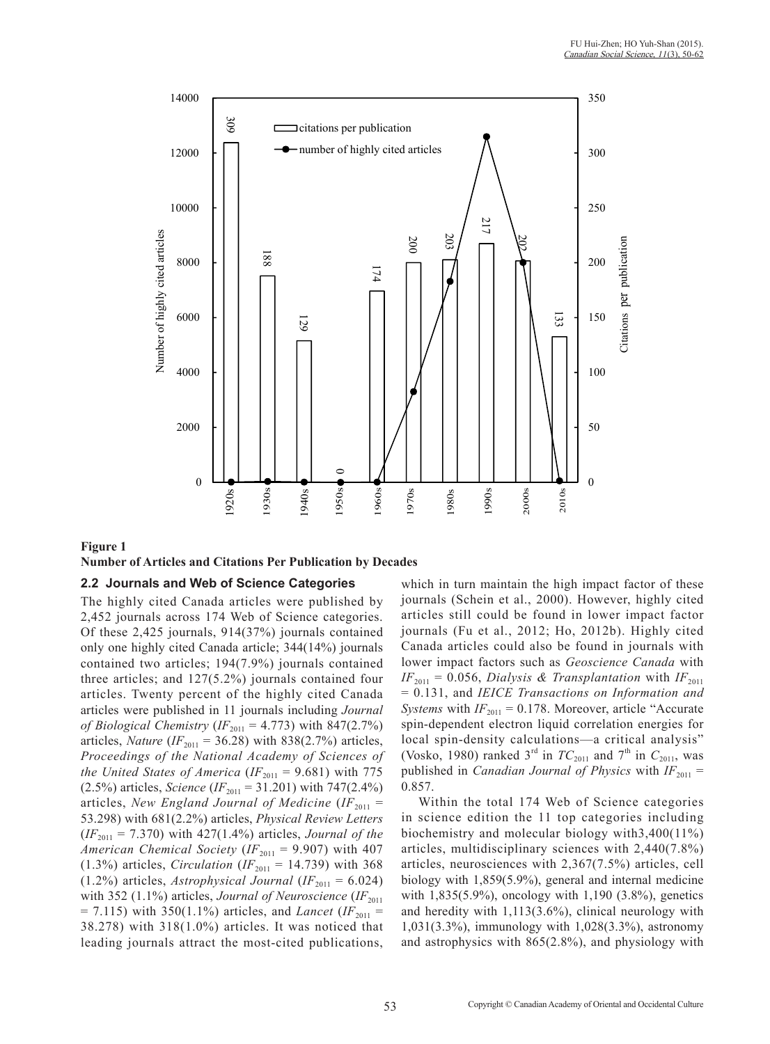

## **Figure 1**

### **Number of Articles and Citations Per Publication by Decades**

### **2.2 Journals and Web of Science Categories**

The highly cited Canada articles were published by 2,452 journals across 174 Web of Science categories. Of these 2,425 journals, 914(37%) journals contained only one highly cited Canada article; 344(14%) journals contained two articles; 194(7.9%) journals contained three articles; and 127(5.2%) journals contained four articles. Twenty percent of the highly cited Canada articles were published in 11 journals including *Journal of Biological Chemistry* (*IF*<sub>2011</sub> = 4.773) with 847(2.7%) articles, *Nature* ( $IF_{2011} = 36.28$ ) with 838(2.7%) articles, *Proceedings of the National Academy of Sciences of the United States of America* ( $IF_{2011} = 9.681$ ) with 775 (2.5%) articles, *Science* (*IF*<sub>2011</sub> = 31.201) with 747(2.4%) articles, *New England Journal of Medicine* ( $IF_{2011}$  = 53.298) with 681(2.2%) articles, *Physical Review Letters*  $(F_{2011} = 7.370)$  with 427(1.4%) articles, *Journal of the American Chemical Society* ( $IF_{2011} = 9.907$ ) with 407  $(1.3\%)$  articles, *Circulation* (*IF*<sub>2011</sub> = 14.739) with 368  $(1.2\%)$  articles, *Astrophysical Journal* ( $IF_{2011} = 6.024$ ) with 352 (1.1%) articles, *Journal of Neuroscience* (*IF*<sub>2011</sub>)  $= 7.115$ ) with 350(1.1%) articles, and *Lancet* (*IF*<sub>2011</sub> = 38.278) with 318(1.0%) articles. It was noticed that leading journals attract the most-cited publications,

which in turn maintain the high impact factor of these journals (Schein et al., 2000). However, highly cited articles still could be found in lower impact factor journals (Fu et al., 2012; Ho, 2012b). Highly cited Canada articles could also be found in journals with lower impact factors such as *Geoscience Canada* with  $IF_{2011} = 0.056$ , *Dialysis & Transplantation* with  $IF_{2011}$ = 0.131, and *IEICE Transactions on Information and Systems* with  $IF_{2011} = 0.178$ . Moreover, article "Accurate" spin-dependent electron liquid correlation energies for local spin-density calculations—a critical analysis" (Vosko, 1980) ranked  $3<sup>rd</sup>$  in  $TC_{2011}$  and  $7<sup>th</sup>$  in  $C_{2011}$ , was published in *Canadian Journal of Physics* with  $IF_{2011}$  = 0.857.

Within the total 174 Web of Science categories in science edition the 11 top categories including biochemistry and molecular biology with3,400(11%) articles, multidisciplinary sciences with 2,440(7.8%) articles, neurosciences with 2,367(7.5%) articles, cell biology with 1,859(5.9%), general and internal medicine with 1,835(5.9%), oncology with 1,190 (3.8%), genetics and heredity with 1,113(3.6%), clinical neurology with 1,031(3.3%), immunology with 1,028(3.3%), astronomy and astrophysics with 865(2.8%), and physiology with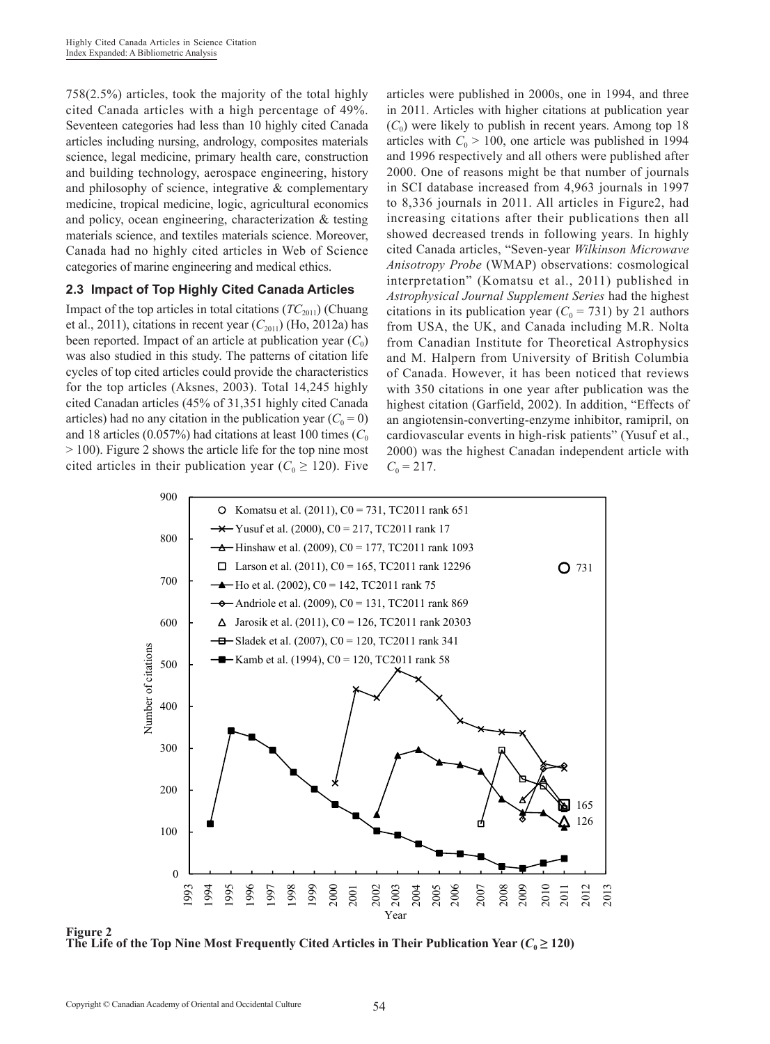758(2.5%) articles, took the majority of the total highly cited Canada articles with a high percentage of 49%. Seventeen categories had less than 10 highly cited Canada articles including nursing, andrology, composites materials science, legal medicine, primary health care, construction and building technology, aerospace engineering, history and philosophy of science, integrative & complementary medicine, tropical medicine, logic, agricultural economics and policy, ocean engineering, characterization & testing materials science, and textiles materials science. Moreover, Canada had no highly cited articles in Web of Science categories of marine engineering and medical ethics.

### **2.3 Impact of Top Highly Cited Canada Articles**

Impact of the top articles in total citations  $(TC_{2011})$  (Chuang et al., 2011), citations in recent year  $(C_{2011})$  (Ho, 2012a) has been reported. Impact of an article at publication year  $(C_0)$ was also studied in this study. The patterns of citation life cycles of top cited articles could provide the characteristics for the top articles (Aksnes, 2003). Total 14,245 highly cited Canadan articles (45% of 31,351 highly cited Canada articles) had no any citation in the publication year  $(C_0 = 0)$ and 18 articles (0.057%) had citations at least 100 times  $(C_0$ > 100). Figure 2 shows the article life for the top nine most cited articles in their publication year ( $C_0 \ge 120$ ). Five articles were published in 2000s, one in 1994, and three in 2011. Articles with higher citations at publication year  $(C_0)$  were likely to publish in recent years. Among top 18 articles with  $C_0 > 100$ , one article was published in 1994 and 1996 respectively and all others were published after 2000. One of reasons might be that number of journals in SCI database increased from 4,963 journals in 1997 to 8,336 journals in 2011. All articles in Figure2, had increasing citations after their publications then all showed decreased trends in following years. In highly cited Canada articles, "Seven-year *Wilkinson Microwave Anisotropy Probe* (WMAP) observations: cosmological interpretation" (Komatsu et al., 2011) published in *Astrophysical Journal Supplement Series* had the highest citations in its publication year  $(C_0 = 731)$  by 21 authors from USA, the UK, and Canada including M.R. Nolta from Canadian Institute for Theoretical Astrophysics and M. Halpern from University of British Columbia of Canada. However, it has been noticed that reviews with 350 citations in one year after publication was the highest citation (Garfield, 2002). In addition, "Effects of an angiotensin-converting-enzyme inhibitor, ramipril, on cardiovascular events in high-risk patients" (Yusuf et al., 2000) was the highest Canadan independent article with  $C_0 = 217$ .



**Figure 2** The Life of the Top Nine Most Frequently Cited Articles in Their Publication Year  $(C_0 \ge 120)$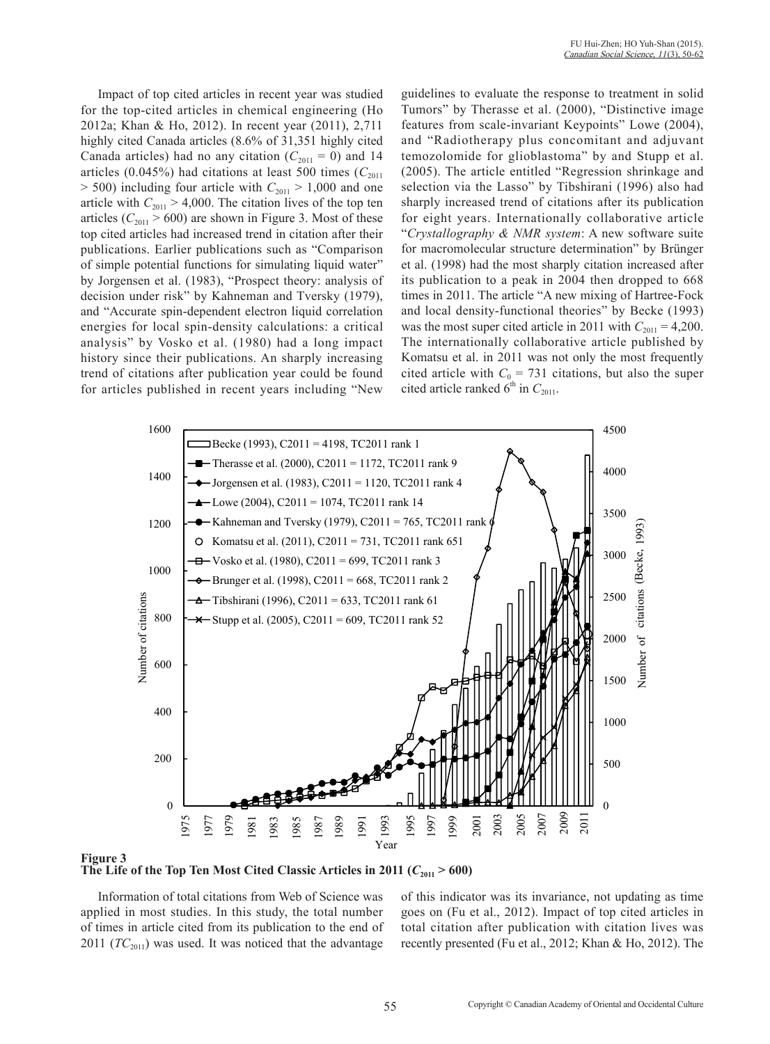Impact of top cited articles in recent year was studied for the top-cited articles in chemical engineering (Ho 2012a; Khan & Ho, 2012). In recent year (2011), 2,711 highly cited Canada articles (8.6% of 31,351 highly cited Canada articles) had no any citation ( $C_{2011} = 0$ ) and 14 articles (0.045%) had citations at least 500 times ( $C_{2011}$ )  $>$  500) including four article with  $C_{2011}$   $>$  1,000 and one article with  $C_{2011} > 4,000$ . The citation lives of the top ten articles  $(C_{2011} > 600)$  are shown in Figure 3. Most of these top cited articles had increased trend in citation after their publications. Earlier publications such as "Comparison of simple potential functions for simulating liquid water" by Jorgensen et al. (1983), "Prospect theory: analysis of decision under risk" by Kahneman and Tversky (1979), and "Accurate spin-dependent electron liquid correlation energies for local spin-density calculations: a critical analysis" by Vosko et al. (1980) had a long impact history since their publications. An sharply increasing trend of citations after publication year could be found for articles published in recent years including "New

guidelines to evaluate the response to treatment in solid Tumors" by Therasse et al. (2000), "Distinctive image features from scale-invariant Keypoints" Lowe (2004), and "Radiotherapy plus concomitant and adjuvant temozolomide for glioblastoma" by and Stupp et al. (2005). The article entitled "Regression shrinkage and selection via the Lasso" by Tibshirani (1996) also had sharply increased trend of citations after its publication for eight years. Internationally collaborative article "*Crystallography & NMR system*: A new software suite for macromolecular structure determination" by Brünger et al. (1998) had the most sharply citation increased after its publication to a peak in 2004 then dropped to 668 times in 2011. The article "A new mixing of Hartree-Fock and local density-functional theories" by Becke (1993) was the most super cited article in 2011 with  $C_{2011} = 4,200$ . The internationally collaborative article published by Komatsu et al. in 2011 was not only the most frequently cited article with  $C_0 = 731$  citations, but also the super cited article ranked  $6<sup>th</sup>$  in  $C_{2011}$ .



**Figure 3** The Life of the Top Ten Most Cited Classic Articles in 2011 ( $C_{2011} > 600$ )

Information of total citations from Web of Science was applied in most studies. In this study, the total number of times in article cited from its publication to the end of 2011 ( $TC_{2011}$ ) was used. It was noticed that the advantage

of this indicator was its invariance, not updating as time goes on (Fu et al., 2012). Impact of top cited articles in total citation after publication with citation lives was recently presented (Fu et al., 2012; Khan & Ho, 2012). The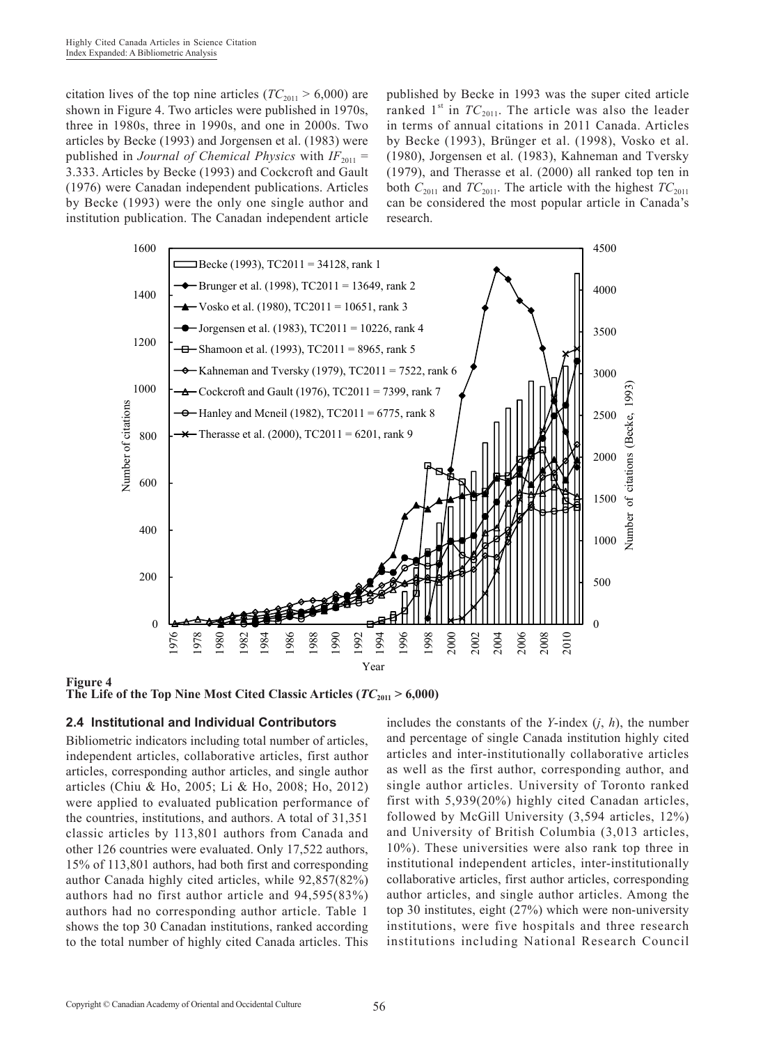citation lives of the top nine articles ( $TC_{2011} > 6,000$ ) are shown in Figure 4. Two articles were published in 1970s, three in 1980s, three in 1990s, and one in 2000s. Two articles by Becke (1993) and Jorgensen et al. (1983) were published in *Journal of Chemical Physics* with  $IF_{2011}$  = 3.333. Articles by Becke (1993) and Cockcroft and Gault (1976) were Canadan independent publications. Articles by Becke (1993) were the only one single author and institution publication. The Canadan independent article published by Becke in 1993 was the super cited article ranked 1<sup>st</sup> in  $TC_{2011}$ . The article was also the leader in terms of annual citations in 2011 Canada. Articles by Becke (1993), Brünger et al. (1998), Vosko et al. (1980), Jorgensen et al. (1983), Kahneman and Tversky (1979), and Therasse et al. (2000) all ranked top ten in both  $C_{2011}$  and  $TC_{2011}$ . The article with the highest  $TC_{2011}$ can be considered the most popular article in Canada's research.



**Figure 4** The Life of the Top Nine Most Cited Classic Articles ( $TC_{2011} > 6,000$ )

### **2.4 Institutional and Individual Contributors**

Bibliometric indicators including total number of articles, independent articles, collaborative articles, first author articles, corresponding author articles, and single author articles (Chiu & Ho, 2005; Li & Ho, 2008; Ho, 2012) were applied to evaluated publication performance of the countries, institutions, and authors. A total of 31,351 classic articles by 113,801 authors from Canada and other 126 countries were evaluated. Only 17,522 authors, 15% of 113,801 authors, had both first and corresponding author Canada highly cited articles, while 92,857(82%) authors had no first author article and 94,595(83%) authors had no corresponding author article. Table 1 shows the top 30 Canadan institutions, ranked according to the total number of highly cited Canada articles. This

includes the constants of the *Y*-index (*j*, *h*), the number and percentage of single Canada institution highly cited articles and inter-institutionally collaborative articles as well as the first author, corresponding author, and single author articles. University of Toronto ranked first with 5,939(20%) highly cited Canadan articles, followed by McGill University (3,594 articles, 12%) and University of British Columbia (3,013 articles, 10%). These universities were also rank top three in institutional independent articles, inter-institutionally collaborative articles, first author articles, corresponding author articles, and single author articles. Among the top 30 institutes, eight (27%) which were non-university institutions, were five hospitals and three research institutions including National Research Council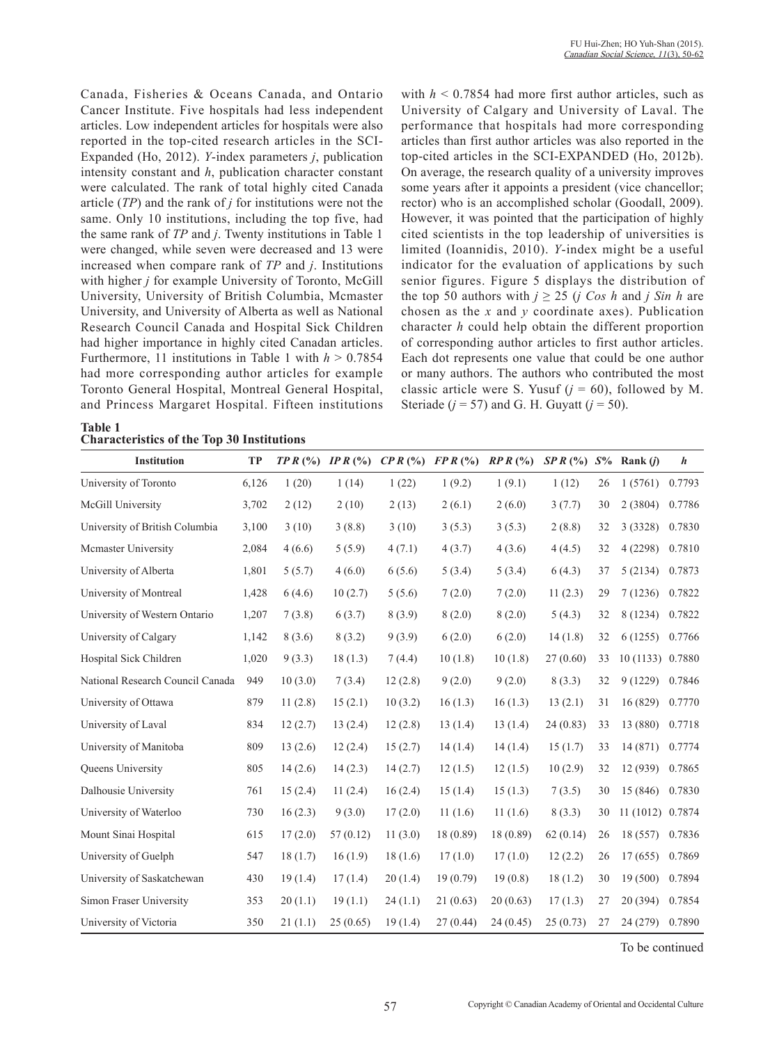Canada, Fisheries & Oceans Canada, and Ontario Cancer Institute. Five hospitals had less independent articles. Low independent articles for hospitals were also reported in the top-cited research articles in the SCI-Expanded (Ho, 2012). *Y*-index parameters *j*, publication intensity constant and *h*, publication character constant were calculated. The rank of total highly cited Canada article (*TP*) and the rank of *j* for institutions were not the same. Only 10 institutions, including the top five, had the same rank of *TP* and *j*. Twenty institutions in Table 1 were changed, while seven were decreased and 13 were increased when compare rank of *TP* and *j*. Institutions with higher *j* for example University of Toronto, McGill University, University of British Columbia, Mcmaster University, and University of Alberta as well as National Research Council Canada and Hospital Sick Children had higher importance in highly cited Canadan articles. Furthermore, 11 institutions in Table 1 with  $h > 0.7854$ had more corresponding author articles for example Toronto General Hospital, Montreal General Hospital, and Princess Margaret Hospital. Fifteen institutions

**Table 1**

with  $h < 0.7854$  had more first author articles, such as University of Calgary and University of Laval. The performance that hospitals had more corresponding articles than first author articles was also reported in the top-cited articles in the SCI-EXPANDED (Ho, 2012b). On average, the research quality of a university improves some years after it appoints a president (vice chancellor; rector) who is an accomplished scholar (Goodall, 2009). However, it was pointed that the participation of highly cited scientists in the top leadership of universities is limited (Ioannidis, 2010). *Y*-index might be a useful indicator for the evaluation of applications by such senior figures. Figure 5 displays the distribution of the top 50 authors with  $j \ge 25$  (*j* Cos *h* and *j* Sin *h* are chosen as the *x* and *y* coordinate axes). Publication character *h* could help obtain the different proportion of corresponding author articles to first author articles. Each dot represents one value that could be one author or many authors. The authors who contributed the most classic article were S. Yusuf  $(i = 60)$ , followed by M. Steriade ( $j = 57$ ) and G. H. Guyatt ( $j = 50$ ).

| <b>Characteristics of the Top 30 Institutions</b><br><b>Institution</b><br><b>TP</b><br>$TPR$ (%) IP R (%)<br>$SPR$ (%) $S\%$ Rank ( <i>i</i> )<br>$\boldsymbol{h}$ |       |         |          |         |           |           |          |    |                  |        |
|---------------------------------------------------------------------------------------------------------------------------------------------------------------------|-------|---------|----------|---------|-----------|-----------|----------|----|------------------|--------|
|                                                                                                                                                                     |       |         |          | CPR(%)  | FPR(%)    | RPR(%)    |          |    |                  |        |
| University of Toronto                                                                                                                                               | 6,126 | 1(20)   | 1(14)    | 1(22)   | 1(9.2)    | 1(9.1)    | 1(12)    | 26 | 1(5761)          | 0.7793 |
| McGill University                                                                                                                                                   | 3,702 | 2(12)   | 2(10)    | 2(13)   | 2(6.1)    | 2(6.0)    | 3(7.7)   | 30 | 2(3804)          | 0.7786 |
| University of British Columbia                                                                                                                                      | 3,100 | 3(10)   | 3(8.8)   | 3(10)   | 3(5.3)    | 3(5.3)    | 2(8.8)   | 32 | 3(3328)          | 0.7830 |
| Mcmaster University                                                                                                                                                 | 2,084 | 4(6.6)  | 5(5.9)   | 4(7.1)  | 4(3.7)    | 4(3.6)    | 4(4.5)   | 32 | 4(2298)          | 0.7810 |
| University of Alberta                                                                                                                                               | 1,801 | 5(5.7)  | 4(6.0)   | 6(5.6)  | 5(3.4)    | 5(3.4)    | 6(4.3)   | 37 | 5(2134)          | 0.7873 |
| University of Montreal                                                                                                                                              | 1,428 | 6(4.6)  | 10(2.7)  | 5(5.6)  | 7(2.0)    | 7(2.0)    | 11(2.3)  | 29 | 7(1236)          | 0.7822 |
| University of Western Ontario                                                                                                                                       | 1,207 | 7(3.8)  | 6(3.7)   | 8(3.9)  | 8(2.0)    | 8(2.0)    | 5(4.3)   | 32 | 8 (1234)         | 0.7822 |
| University of Calgary                                                                                                                                               | 1,142 | 8(3.6)  | 8(3.2)   | 9(3.9)  | 6(2.0)    | 6(2.0)    | 14(1.8)  | 32 | 6(1255)          | 0.7766 |
| Hospital Sick Children                                                                                                                                              | 1,020 | 9(3.3)  | 18(1.3)  | 7(4.4)  | 10(1.8)   | 10(1.8)   | 27(0.60) | 33 | 10 (1133) 0.7880 |        |
| National Research Council Canada                                                                                                                                    | 949   | 10(3.0) | 7(3.4)   | 12(2.8) | 9(2.0)    | 9(2.0)    | 8(3.3)   | 32 | 9(1229)          | 0.7846 |
| University of Ottawa                                                                                                                                                | 879   | 11(2.8) | 15(2.1)  | 10(3.2) | 16(1.3)   | 16(1.3)   | 13(2.1)  | 31 | 16 (829)         | 0.7770 |
| University of Laval                                                                                                                                                 | 834   | 12(2.7) | 13(2.4)  | 12(2.8) | 13(1.4)   | 13(1.4)   | 24(0.83) | 33 | 13 (880)         | 0.7718 |
| University of Manitoba                                                                                                                                              | 809   | 13(2.6) | 12(2.4)  | 15(2.7) | 14(1.4)   | 14(1.4)   | 15(1.7)  | 33 | 14 (871)         | 0.7774 |
| Queens University                                                                                                                                                   | 805   | 14(2.6) | 14(2.3)  | 14(2.7) | 12(1.5)   | 12(1.5)   | 10(2.9)  | 32 | 12 (939)         | 0.7865 |
| Dalhousie University                                                                                                                                                | 761   | 15(2.4) | 11(2.4)  | 16(2.4) | 15(1.4)   | 15(1.3)   | 7(3.5)   | 30 | 15 (846)         | 0.7830 |
| University of Waterloo                                                                                                                                              | 730   | 16(2.3) | 9(3.0)   | 17(2.0) | 11(1.6)   | 11(1.6)   | 8(3.3)   | 30 | 11(1012)         | 0.7874 |
| Mount Sinai Hospital                                                                                                                                                | 615   | 17(2.0) | 57(0.12) | 11(3.0) | 18 (0.89) | 18 (0.89) | 62(0.14) | 26 | 18 (557)         | 0.7836 |
| University of Guelph                                                                                                                                                | 547   | 18(1.7) | 16(1.9)  | 18(1.6) | 17(1.0)   | 17(1.0)   | 12(2.2)  | 26 | 17(655)          | 0.7869 |
| University of Saskatchewan                                                                                                                                          | 430   | 19(1.4) | 17(1.4)  | 20(1.4) | 19(0.79)  | 19(0.8)   | 18(1.2)  | 30 | 19(500)          | 0.7894 |
| Simon Fraser University                                                                                                                                             | 353   | 20(1.1) | 19(1.1)  | 24(1.1) | 21(0.63)  | 20(0.63)  | 17(1.3)  | 27 | 20 (394)         | 0.7854 |
| University of Victoria                                                                                                                                              | 350   | 21(1.1) | 25(0.65) | 19(1.4) | 27(0.44)  | 24(0.45)  | 25(0.73) | 27 | 24 (279)         | 0.7890 |

To be continued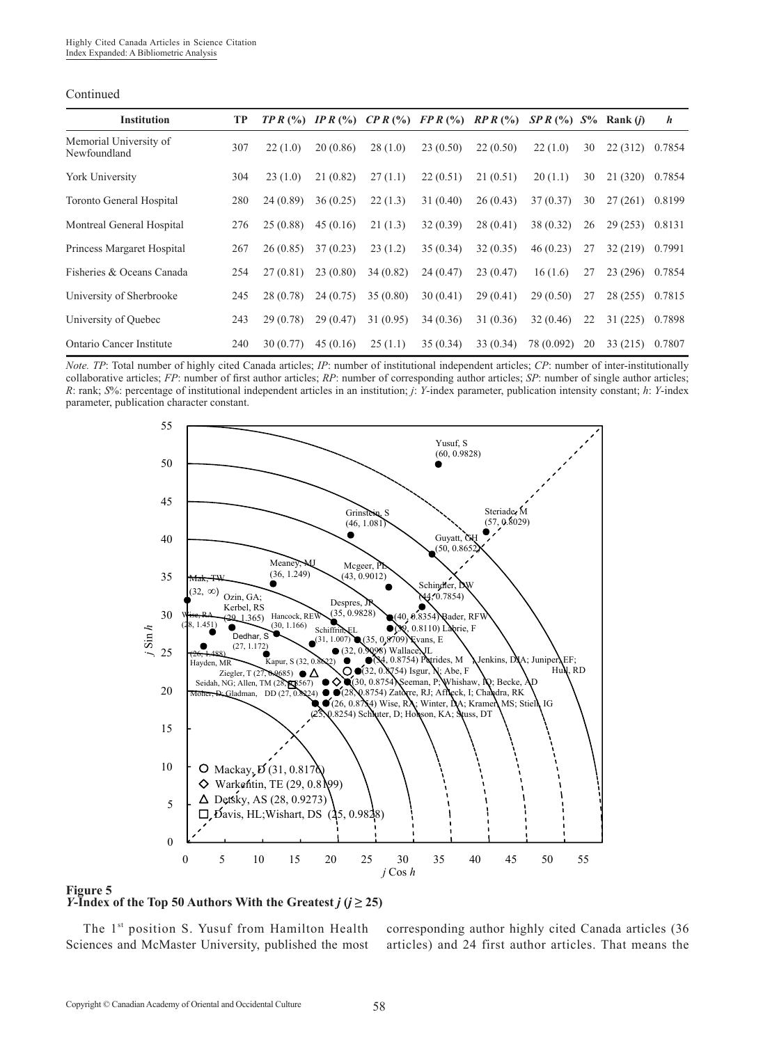| Continued |  |
|-----------|--|
|           |  |

| <b>Institution</b>                     | TP  | TPR(%)    |          | IP R $(\%)$ CP R $(\%)$ FP R $(\%)$ |          | RPR(%)    | $SPR$ (%) $S\%$ |    | Rank $(i)$ | $\boldsymbol{h}$ |
|----------------------------------------|-----|-----------|----------|-------------------------------------|----------|-----------|-----------------|----|------------|------------------|
| Memorial University of<br>Newfoundland | 307 | 22(1.0)   | 20(0.86) | 28(1.0)                             | 23(0.50) | 22(0.50)  | 22(1.0)         | 30 | 22(312)    | 0.7854           |
| York University                        | 304 | 23(1.0)   | 21(0.82) | 27(1.1)                             | 22(0.51) | 21(0.51)  | 20(1.1)         | 30 | 21(320)    | 0.7854           |
| <b>Toronto General Hospital</b>        | 280 | 24 (0.89) | 36(0.25) | 22(1.3)                             | 31(0.40) | 26(0.43)  | 37(0.37)        | 30 | 27(261)    | 0.8199           |
| Montreal General Hospital              | 276 | 25(0.88)  | 45(0.16) | 21(1.3)                             | 32(0.39) | 28(0.41)  | 38 (0.32)       | 26 | 29(253)    | 0.8131           |
| Princess Margaret Hospital             | 267 | 26(0.85)  | 37(0.23) | 23(1.2)                             | 35(0.34) | 32(0.35)  | 46(0.23)        | 27 | 32(219)    | 0.7991           |
| Fisheries & Oceans Canada              | 254 | 27(0.81)  | 23(0.80) | 34(0.82)                            | 24(0.47) | 23(0.47)  | 16(1.6)         | 27 | 23(296)    | 0.7854           |
| University of Sherbrooke               | 245 | 28 (0.78) | 24(0.75) | 35(0.80)                            | 30(0.41) | 29(0.41)  | 29(0.50)        | 27 | 28(255)    | 0.7815           |
| University of Ouebec                   | 243 | 29(0.78)  | 29(0.47) | 31(0.95)                            | 34(0.36) | 31 (0.36) | 32(0.46)        | 22 | 31(225)    | 0.7898           |
| Ontario Cancer Institute               | 240 | 30(0.77)  | 45(0.16) | 25(1.1)                             | 35(0.34) | 33(0.34)  | 78 (0.092)      | 20 | 33(215)    | 0.7807           |

*Note. TP*: Total number of highly cited Canada articles; *IP*: number of institutional independent articles; *CP*: number of inter-institutionally collaborative articles; *FP*: number of first author articles; *RP*: number of corresponding author articles; *SP*: number of single author articles; *R*: rank; *S*%: percentage of institutional independent articles in an institution; *j*: *Y*-index parameter, publication intensity constant; *h*: *Y*-index parameter, publication character constant.



#### **Figure 5**

*Y***-Index of the Top 50 Authors With the Greatest**  $j$  **(** $j \ge 25$ **)** 

The 1<sup>st</sup> position S. Yusuf from Hamilton Health Sciences and McMaster University, published the most corresponding author highly cited Canada articles (36 articles) and 24 first author articles. That means the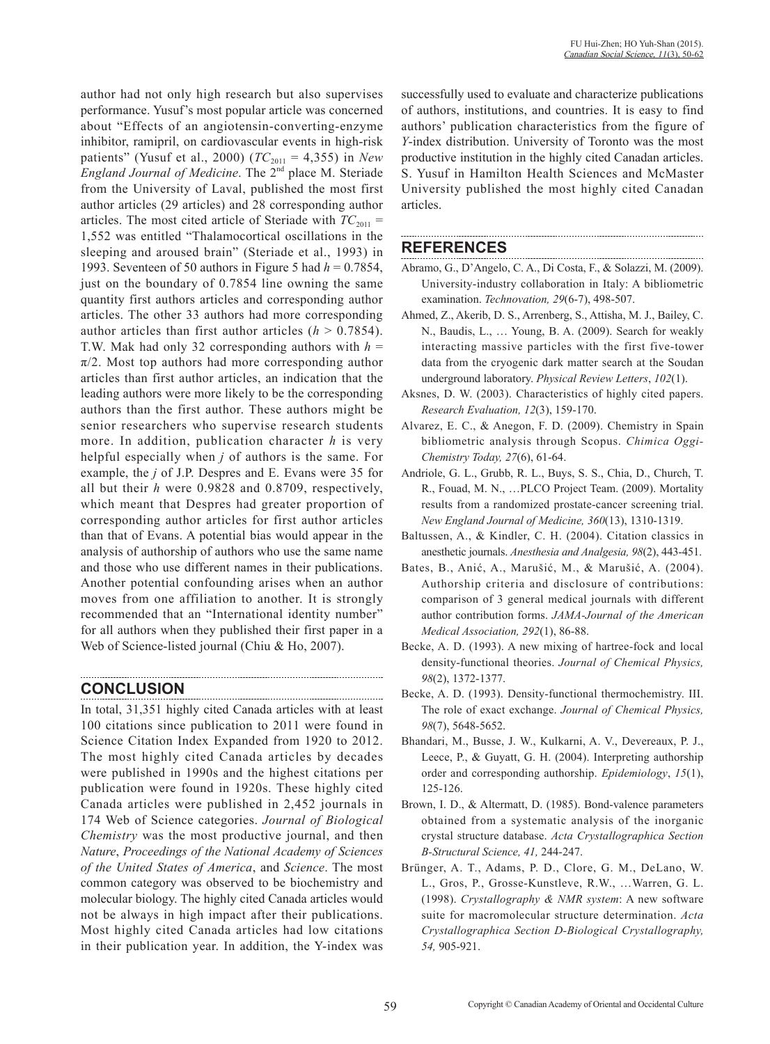author had not only high research but also supervises performance. Yusuf's most popular article was concerned about "Effects of an angiotensin-converting-enzyme inhibitor, ramipril, on cardiovascular events in high-risk patients" (Yusuf et al., 2000) ( $TC_{2011} = 4,355$ ) in *New England Journal of Medicine*. The 2<sup>nd</sup> place M. Steriade from the University of Laval, published the most first author articles (29 articles) and 28 corresponding author articles. The most cited article of Steriade with  $TC_{2011}$  = 1,552 was entitled "Thalamocortical oscillations in the sleeping and aroused brain" (Steriade et al., 1993) in 1993. Seventeen of 50 authors in Figure 5 had *h* = 0.7854, just on the boundary of 0.7854 line owning the same quantity first authors articles and corresponding author articles. The other 33 authors had more corresponding author articles than first author articles  $(h > 0.7854)$ . T.W. Mak had only 32 corresponding authors with  $h =$  $\pi/2$ . Most top authors had more corresponding author articles than first author articles, an indication that the leading authors were more likely to be the corresponding authors than the first author. These authors might be senior researchers who supervise research students more. In addition, publication character *h* is very helpful especially when *j* of authors is the same. For example, the *j* of J.P. Despres and E. Evans were 35 for all but their *h* were 0.9828 and 0.8709, respectively, which meant that Despres had greater proportion of corresponding author articles for first author articles than that of Evans. A potential bias would appear in the analysis of authorship of authors who use the same name and those who use different names in their publications. Another potential confounding arises when an author moves from one affiliation to another. It is strongly recommended that an "International identity number" for all authors when they published their first paper in a Web of Science-listed journal (Chiu & Ho, 2007).

# **CONCLUSION**

In total, 31,351 highly cited Canada articles with at least 100 citations since publication to 2011 were found in Science Citation Index Expanded from 1920 to 2012. The most highly cited Canada articles by decades were published in 1990s and the highest citations per publication were found in 1920s. These highly cited Canada articles were published in 2,452 journals in 174 Web of Science categories. *Journal of Biological Chemistry* was the most productive journal, and then *Nature*, *Proceedings of the National Academy of Sciences of the United States of America*, and *Science*. The most common category was observed to be biochemistry and molecular biology. The highly cited Canada articles would not be always in high impact after their publications. Most highly cited Canada articles had low citations in their publication year. In addition, the Y-index was

successfully used to evaluate and characterize publications of authors, institutions, and countries. It is easy to find authors' publication characteristics from the figure of *Y*-index distribution. University of Toronto was the most productive institution in the highly cited Canadan articles. S. Yusuf in Hamilton Health Sciences and McMaster University published the most highly cited Canadan articles.

## **REFERENCES**

- Abramo, G., D'Angelo, C. A., Di Costa, F., & Solazzi, M. (2009). University-industry collaboration in Italy: A bibliometric examination. *Technovation, 29*(6-7), 498-507.
- Ahmed, Z., Akerib, D. S., Arrenberg, S., Attisha, M. J., Bailey, C. N., Baudis, L., … Young, B. A. (2009). Search for weakly interacting massive particles with the first five-tower data from the cryogenic dark matter search at the Soudan underground laboratory. *Physical Review Letters*, *102*(1).
- Aksnes, D. W. (2003). Characteristics of highly cited papers. *Research Evaluation, 12*(3), 159-170.
- Alvarez, E. C., & Anegon, F. D. (2009). Chemistry in Spain bibliometric analysis through Scopus. *Chimica Oggi-Chemistry Today, 27*(6), 61-64.
- Andriole, G. L., Grubb, R. L., Buys, S. S., Chia, D., Church, T. R., Fouad, M. N., …PLCO Project Team. (2009). Mortality results from a randomized prostate-cancer screening trial. *New England Journal of Medicine, 360*(13), 1310-1319.
- Baltussen, A., & Kindler, C. H. (2004). Citation classics in anesthetic journals. *Anesthesia and Analgesia, 98*(2), 443-451.
- Bates, B., Anić, A., Marušić, M., & Marušić, A. (2004). Authorship criteria and disclosure of contributions: comparison of 3 general medical journals with different author contribution forms. *JAMA-Journal of the American Medical Association, 292*(1), 86-88.
- Becke, A. D. (1993). A new mixing of hartree-fock and local density-functional theories. *Journal of Chemical Physics, 98*(2), 1372-1377.
- Becke, A. D. (1993). Density-functional thermochemistry. III. The role of exact exchange. *Journal of Chemical Physics, 98*(7), 5648-5652.
- Bhandari, M., Busse, J. W., Kulkarni, A. V., Devereaux, P. J., Leece, P., & Guyatt, G. H. (2004). Interpreting authorship order and corresponding authorship. *Epidemiology*, *15*(1), 125-126.
- Brown, I. D., & Altermatt, D. (1985). Bond-valence parameters obtained from a systematic analysis of the inorganic crystal structure database. *Acta Crystallographica Section B-Structural Science, 41,* 244-247.
- Brünger, A. T., Adams, P. D., Clore, G. M., DeLano, W. L., Gros, P., Grosse-Kunstleve, R.W., …Warren, G. L. (1998). *Crystallography & NMR system*: A new software suite for macromolecular structure determination. *Acta Crystallographica Section D-Biological Crystallography, 54,* 905-921.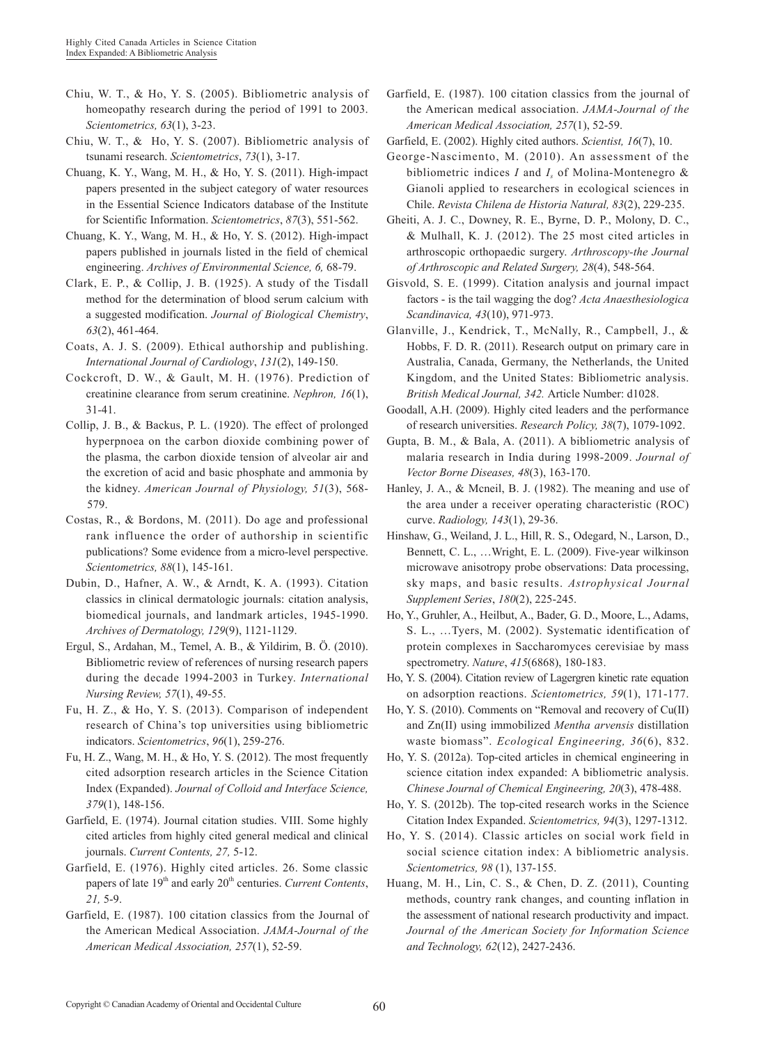- Chiu, W. T., & Ho, Y. S. (2005). Bibliometric analysis of homeopathy research during the period of 1991 to 2003. *Scientometrics, 63*(1), 3-23.
- Chiu, W. T., & Ho, Y. S. (2007). Bibliometric analysis of tsunami research. *Scientometrics*, *73*(1), 3-17.
- Chuang, K. Y., Wang, M. H., & Ho, Y. S. (2011). High-impact papers presented in the subject category of water resources in the Essential Science Indicators database of the Institute for Scientific Information. *Scientometrics*, *87*(3), 551-562.
- Chuang, K. Y., Wang, M. H., & Ho, Y. S. (2012). High-impact papers published in journals listed in the field of chemical engineering. *Archives of Environmental Science, 6,* 68-79.
- Clark, E. P., & Collip, J. B. (1925). A study of the Tisdall method for the determination of blood serum calcium with a suggested modification. *Journal of Biological Chemistry*, *63*(2), 461-464.
- Coats, A. J. S. (2009). Ethical authorship and publishing. *International Journal of Cardiology*, *131*(2), 149-150.
- Cockcroft, D. W., & Gault, M. H. (1976). Prediction of creatinine clearance from serum creatinine. *Nephron, 16*(1), 31-41.
- Collip, J. B., & Backus, P. L. (1920). The effect of prolonged hyperpnoea on the carbon dioxide combining power of the plasma, the carbon dioxide tension of alveolar air and the excretion of acid and basic phosphate and ammonia by the kidney. *American Journal of Physiology, 51*(3), 568- 579.
- Costas, R., & Bordons, M. (2011). Do age and professional rank influence the order of authorship in scientific publications? Some evidence from a micro-level perspective. *Scientometrics, 88*(1), 145-161.
- Dubin, D., Hafner, A. W., & Arndt, K. A. (1993). Citation classics in clinical dermatologic journals: citation analysis, biomedical journals, and landmark articles, 1945-1990. *Archives of Dermatology, 129*(9), 1121-1129.
- Ergul, S., Ardahan, M., Temel, A. B., & Yildirim, B. Ö. (2010). Bibliometric review of references of nursing research papers during the decade 1994-2003 in Turkey. *International Nursing Review, 57*(1), 49-55.
- Fu, H. Z., & Ho, Y. S. (2013). Comparison of independent research of China's top universities using bibliometric indicators. *Scientometrics*, *96*(1), 259-276.
- Fu, H. Z., Wang, M. H., & Ho, Y. S. (2012). The most frequently cited adsorption research articles in the Science Citation Index (Expanded). *Journal of Colloid and Interface Science, 379*(1), 148-156.
- Garfield, E. (1974). Journal citation studies. VIII. Some highly cited articles from highly cited general medical and clinical journals. *Current Contents, 27,* 5-12.
- Garfield, E. (1976). Highly cited articles. 26. Some classic papers of late 19<sup>th</sup> and early 20<sup>th</sup> centuries. *Current Contents*, *21,* 5-9.
- Garfield, E. (1987). 100 citation classics from the Journal of the American Medical Association. *JAMA-Journal of the American Medical Association, 257*(1), 52-59.

Garfield, E. (1987). 100 citation classics from the journal of the American medical association. *JAMA-Journal of the American Medical Association, 257*(1), 52-59.

Garfield, E. (2002). Highly cited authors. *Scientist, 16*(7), 10.

- George-Nascimento, M. (2010). An assessment of the bibliometric indices *I* and *Is* of Molina-Montenegro & Gianoli applied to researchers in ecological sciences in Chile. *Revista Chilena de Historia Natural, 83*(2), 229-235.
- Gheiti, A. J. C., Downey, R. E., Byrne, D. P., Molony, D. C., & Mulhall, K. J. (2012). The 25 most cited articles in arthroscopic orthopaedic surgery. *Arthroscopy-the Journal of Arthroscopic and Related Surgery, 28*(4), 548-564.
- Gisvold, S. E. (1999). Citation analysis and journal impact factors - is the tail wagging the dog? *Acta Anaesthesiologica Scandinavica, 43*(10), 971-973.
- Glanville, J., Kendrick, T., McNally, R., Campbell, J., & Hobbs, F. D. R. (2011). Research output on primary care in Australia, Canada, Germany, the Netherlands, the United Kingdom, and the United States: Bibliometric analysis. *British Medical Journal, 342.* Article Number: d1028.
- Goodall, A.H. (2009). Highly cited leaders and the performance of research universities. *Research Policy, 38*(7), 1079-1092.
- Gupta, B. M., & Bala, A. (2011). A bibliometric analysis of malaria research in India during 1998-2009. *Journal of Vector Borne Diseases, 48*(3), 163-170.
- Hanley, J. A., & Mcneil, B. J. (1982). The meaning and use of the area under a receiver operating characteristic (ROC) curve. *Radiology, 143*(1), 29-36.
- Hinshaw, G., Weiland, J. L., Hill, R. S., Odegard, N., Larson, D., Bennett, C. L., …Wright, E. L. (2009). Five-year wilkinson microwave anisotropy probe observations: Data processing, sky maps, and basic results. *Astrophysical Journal Supplement Series*, *180*(2), 225-245.
- Ho, Y., Gruhler, A., Heilbut, A., Bader, G. D., Moore, L., Adams, S. L., …Tyers, M. (2002). Systematic identification of protein complexes in Saccharomyces cerevisiae by mass spectrometry. *Nature*, *415*(6868), 180-183.
- Ho, Y. S. (2004). Citation review of Lagergren kinetic rate equation on adsorption reactions. *Scientometrics, 59*(1), 171-177.
- Ho, Y. S. (2010). Comments on "Removal and recovery of Cu(II) and Zn(II) using immobilized *Mentha arvensis* distillation waste biomass". *Ecological Engineering, 36*(6), 832.
- Ho, Y. S. (2012a). Top-cited articles in chemical engineering in science citation index expanded: A bibliometric analysis. *Chinese Journal of Chemical Engineering, 20*(3), 478-488.
- Ho, Y. S. (2012b). The top-cited research works in the Science Citation Index Expanded. *Scientometrics, 94*(3), 1297-1312.
- Ho, Y. S. (2014). Classic articles on social work field in social science citation index: A bibliometric analysis. *Scientometrics, 98* (1), 137-155.
- Huang, M. H., Lin, C. S., & Chen, D. Z. (2011), Counting methods, country rank changes, and counting inflation in the assessment of national research productivity and impact. *Journal of the American Society for Information Science and Technology, 62*(12), 2427-2436.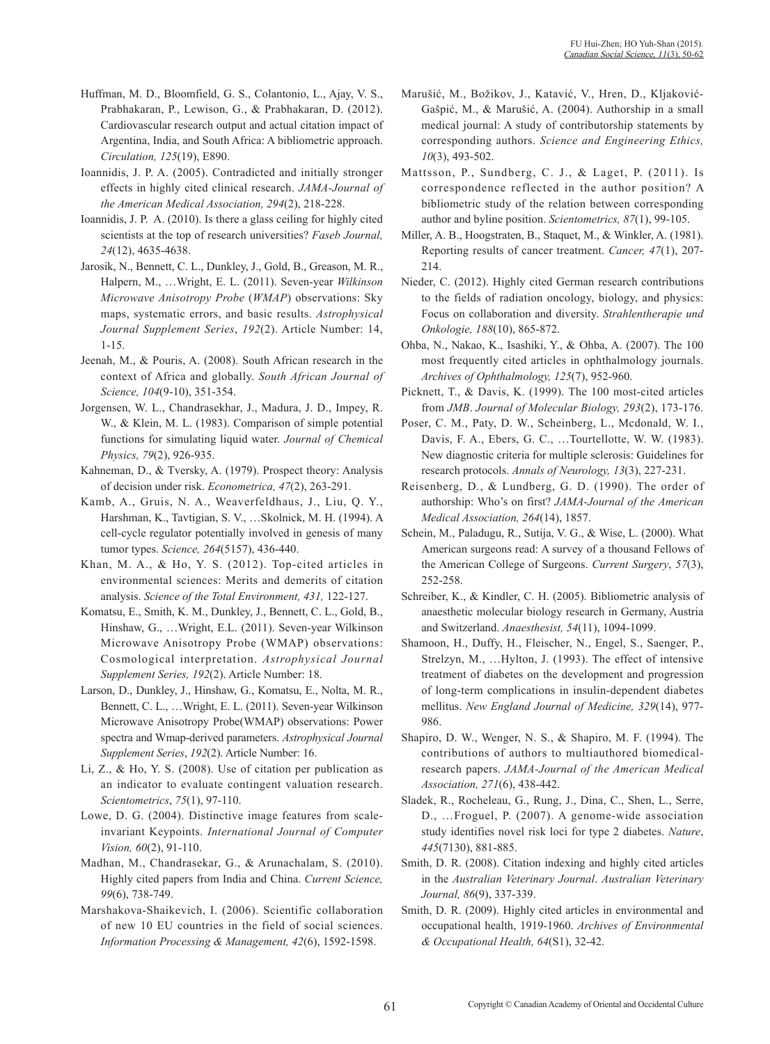- Huffman, M. D., Bloomfield, G. S., Colantonio, L., Ajay, V. S., Prabhakaran, P., Lewison, G., & Prabhakaran, D. (2012). Cardiovascular research output and actual citation impact of Argentina, India, and South Africa: A bibliometric approach. *Circulation, 125*(19), E890.
- Ioannidis, J. P. A. (2005). Contradicted and initially stronger effects in highly cited clinical research. *JAMA-Journal of the American Medical Association, 294*(2), 218-228.
- Ioannidis, J. P. A. (2010). Is there a glass ceiling for highly cited scientists at the top of research universities? *Faseb Journal, 24*(12), 4635-4638.
- Jarosik, N., Bennett, C. L., Dunkley, J., Gold, B., Greason, M. R., Halpern, M., …Wright, E. L. (2011). Seven-year *Wilkinson Microwave Anisotropy Probe* (*WMAP*) observations: Sky maps, systematic errors, and basic results. *Astrophysical Journal Supplement Series*, *192*(2). Article Number: 14, 1-15.
- Jeenah, M., & Pouris, A. (2008). South African research in the context of Africa and globally. *South African Journal of Science, 104*(9-10), 351-354.
- Jorgensen, W. L., Chandrasekhar, J., Madura, J. D., Impey, R. W., & Klein, M. L. (1983). Comparison of simple potential functions for simulating liquid water. *Journal of Chemical Physics, 79*(2), 926-935.
- Kahneman, D., & Tversky, A. (1979). Prospect theory: Analysis of decision under risk. *Econometrica, 47*(2), 263-291.
- Kamb, A., Gruis, N. A., Weaverfeldhaus, J., Liu, Q. Y., Harshman, K., Tavtigian, S. V., …Skolnick, M. H. (1994). A cell-cycle regulator potentially involved in genesis of many tumor types. *Science, 264*(5157), 436-440.
- Khan, M. A., & Ho, Y. S. (2012). Top-cited articles in environmental sciences: Merits and demerits of citation analysis. *Science of the Total Environment, 431,* 122-127.
- Komatsu, E., Smith, K. M., Dunkley, J., Bennett, C. L., Gold, B., Hinshaw, G., …Wright, E.L. (2011). Seven-year Wilkinson Microwave Anisotropy Probe (WMAP) observations: Cosmological interpretation. *Astrophysical Journal Supplement Series, 192*(2). Article Number: 18.
- Larson, D., Dunkley, J., Hinshaw, G., Komatsu, E., Nolta, M. R., Bennett, C. L., …Wright, E. L. (2011). Seven-year Wilkinson Microwave Anisotropy Probe(WMAP) observations: Power spectra and Wmap-derived parameters. *Astrophysical Journal Supplement Series*, *192*(2). Article Number: 16.
- Li, Z., & Ho, Y. S. (2008). Use of citation per publication as an indicator to evaluate contingent valuation research. *Scientometrics*, *75*(1), 97-110.
- Lowe, D. G. (2004). Distinctive image features from scaleinvariant Keypoints. *International Journal of Computer Vision, 60*(2), 91-110.
- Madhan, M., Chandrasekar, G., & Arunachalam, S. (2010). Highly cited papers from India and China. *Current Science, 99*(6), 738-749.
- Marshakova-Shaikevich, I. (2006). Scientific collaboration of new 10 EU countries in the field of social sciences. *Information Processing & Management, 42*(6), 1592-1598.
- Marušić, M., Božikov, J., Katavić, V., Hren, D., Kljaković-Gašpić, M., & Marušić, A. (2004). Authorship in a small medical journal: A study of contributorship statements by corresponding authors. *Science and Engineering Ethics, 10*(3), 493-502.
- Mattsson, P., Sundberg, C. J., & Laget, P. (2011). Is correspondence reflected in the author position? A bibliometric study of the relation between corresponding author and byline position. *Scientometrics, 87*(1), 99-105.
- Miller, A. B., Hoogstraten, B., Staquet, M., & Winkler, A. (1981). Reporting results of cancer treatment. *Cancer, 47*(1), 207- 214.
- Nieder, C. (2012). Highly cited German research contributions to the fields of radiation oncology, biology, and physics: Focus on collaboration and diversity. *Strahlentherapie und Onkologie, 188*(10), 865-872.
- Ohba, N., Nakao, K., Isashiki, Y., & Ohba, A. (2007). The 100 most frequently cited articles in ophthalmology journals. *Archives of Ophthalmology, 125*(7), 952-960.
- Picknett, T., & Davis, K. (1999). The 100 most-cited articles from *JMB*. *Journal of Molecular Biology, 293*(2), 173-176.
- Poser, C. M., Paty, D. W., Scheinberg, L., Mcdonald, W. I., Davis, F. A., Ebers, G. C., …Tourtellotte, W. W. (1983). New diagnostic criteria for multiple sclerosis: Guidelines for research protocols. *Annals of Neurology, 13*(3), 227-231.
- Reisenberg, D., & Lundberg, G. D. (1990). The order of authorship: Who's on first? *JAMA-Journal of the American Medical Association, 264*(14), 1857.
- Schein, M., Paladugu, R., Sutija, V. G., & Wise, L. (2000). What American surgeons read: A survey of a thousand Fellows of the American College of Surgeons. *Current Surgery*, *57*(3), 252-258.
- Schreiber, K., & Kindler, C. H. (2005). Bibliometric analysis of anaesthetic molecular biology research in Germany, Austria and Switzerland. *Anaesthesist, 54*(11), 1094-1099.
- Shamoon, H., Duffy, H., Fleischer, N., Engel, S., Saenger, P., Strelzyn, M., …Hylton, J. (1993). The effect of intensive treatment of diabetes on the development and progression of long-term complications in insulin-dependent diabetes mellitus. *New England Journal of Medicine, 329*(14), 977- 986.
- Shapiro, D. W., Wenger, N. S., & Shapiro, M. F. (1994). The contributions of authors to multiauthored biomedicalresearch papers. *JAMA-Journal of the American Medical Association, 271*(6), 438-442.
- Sladek, R., Rocheleau, G., Rung, J., Dina, C., Shen, L., Serre, D., …Froguel, P. (2007). A genome-wide association study identifies novel risk loci for type 2 diabetes. *Nature*, *445*(7130), 881-885.
- Smith, D. R. (2008). Citation indexing and highly cited articles in the *Australian Veterinary Journal*. *Australian Veterinary Journal, 86*(9), 337-339.
- Smith, D. R. (2009). Highly cited articles in environmental and occupational health, 1919-1960. *Archives of Environmental & Occupational Health, 64*(S1), 32-42.